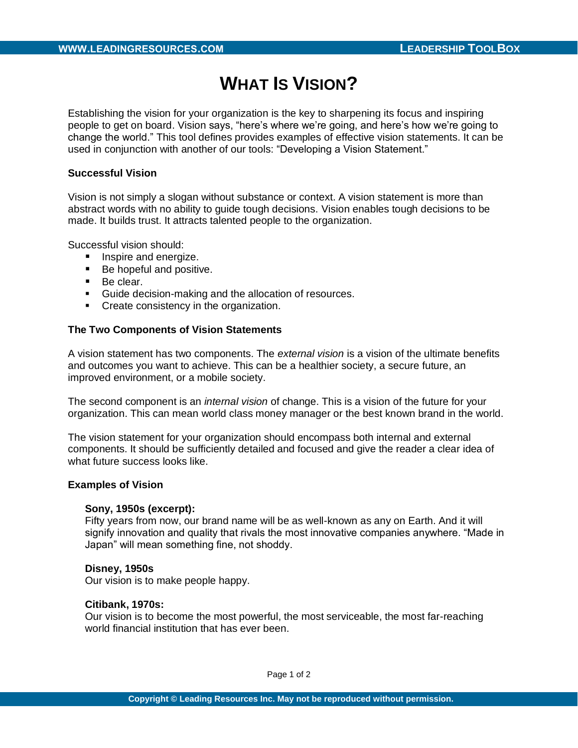# **WHAT IS VISION?**

Establishing the vision for your organization is the key to sharpening its focus and inspiring people to get on board. Vision says, "here's where we're going, and here's how we're going to change the world." This tool defines provides examples of effective vision statements. It can be used in conjunction with another of our tools: "Developing a Vision Statement."

## **Successful Vision**

Vision is not simply a slogan without substance or context. A vision statement is more than abstract words with no ability to guide tough decisions. Vision enables tough decisions to be made. It builds trust. It attracts talented people to the organization.

Successful vision should:

- Inspire and energize.
- Be hopeful and positive.
- Be clear.
- Guide decision-making and the allocation of resources.
- **•** Create consistency in the organization.

# **The Two Components of Vision Statements**

A vision statement has two components. The *external vision* is a vision of the ultimate benefits and outcomes you want to achieve. This can be a healthier society, a secure future, an improved environment, or a mobile society.

The second component is an *internal vision* of change. This is a vision of the future for your organization. This can mean world class money manager or the best known brand in the world.

The vision statement for your organization should encompass both internal and external components. It should be sufficiently detailed and focused and give the reader a clear idea of what future success looks like.

## **Examples of Vision**

#### **Sony, 1950s (excerpt):**

Fifty years from now, our brand name will be as well-known as any on Earth. And it will signify innovation and quality that rivals the most innovative companies anywhere. "Made in Japan" will mean something fine, not shoddy.

#### **Disney, 1950s**

Our vision is to make people happy.

#### **Citibank, 1970s:**

Our vision is to become the most powerful, the most serviceable, the most far-reaching world financial institution that has ever been.